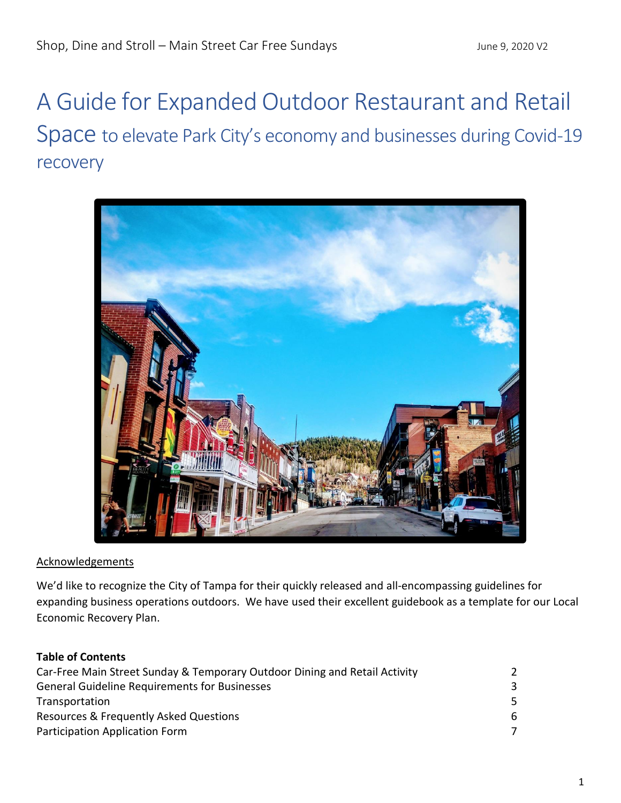# A Guide for Expanded Outdoor Restaurant and Retail Space to elevate Park City's economy and businesses during Covid-19 recovery



#### **Acknowledgements**

We'd like to recognize the City of Tampa for their quickly released and all-encompassing guidelines for expanding business operations outdoors. We have used their excellent guidebook as a template for our Local Economic Recovery Plan.

## **Table of Contents**

| Car-Free Main Street Sunday & Temporary Outdoor Dining and Retail Activity |    |
|----------------------------------------------------------------------------|----|
| <b>General Guideline Requirements for Businesses</b>                       |    |
| Transportation                                                             | 5. |
| Resources & Frequently Asked Questions                                     | 6. |
| Participation Application Form                                             |    |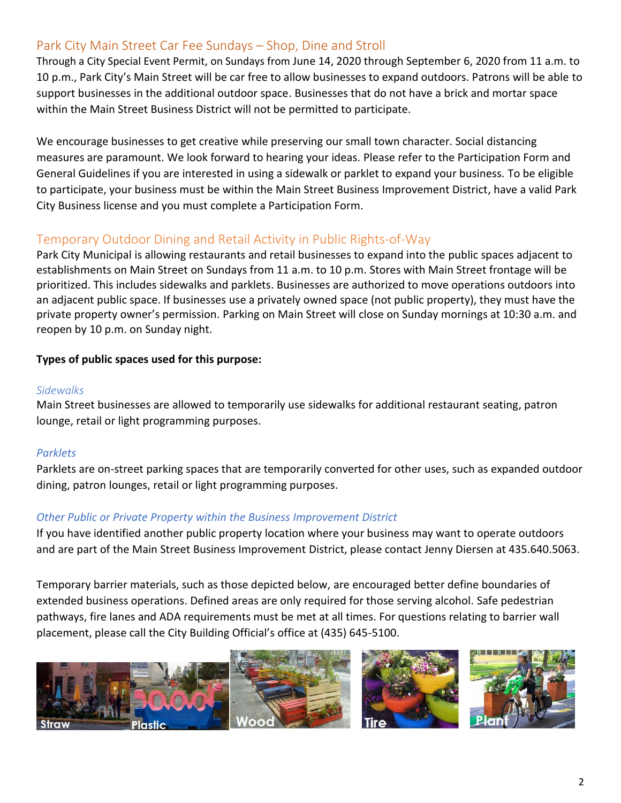## Park City Main Street Car Fee Sundays – Shop, Dine and Stroll

Through a City Special Event Permit, on Sundays from June 14, 2020 through September 6, 2020 from 11 a.m. to 10 p.m., Park City's Main Street will be car free to allow businesses to expand outdoors. Patrons will be able to support businesses in the additional outdoor space. Businesses that do not have a brick and mortar space within the Main Street Business District will not be permitted to participate.

We encourage businesses to get creative while preserving our small town character. Social distancing measures are paramount. We look forward to hearing your ideas. Please refer to the Participation Form and General Guidelines if you are interested in using a sidewalk or parklet to expand your business. To be eligible to participate, your business must be within the Main Street Business Improvement District, have a valid Park City Business license and you must complete a Participation Form.

## Temporary Outdoor Dining and Retail Activity in Public Rights-of-Way

Park City Municipal is allowing restaurants and retail businesses to expand into the public spaces adjacent to establishments on Main Street on Sundays from 11 a.m. to 10 p.m. Stores with Main Street frontage will be prioritized. This includes sidewalks and parklets. Businesses are authorized to move operations outdoors into an adjacent public space. If businesses use a privately owned space (not public property), they must have the private property owner's permission. Parking on Main Street will close on Sunday mornings at 10:30 a.m. and reopen by 10 p.m. on Sunday night.

## **Types of public spaces used for this purpose:**

#### *Sidewalks*

Main Street businesses are allowed to temporarily use sidewalks for additional restaurant seating, patron lounge, retail or light programming purposes.

## *Parklets*

Parklets are on-street parking spaces that are temporarily converted for other uses, such as expanded outdoor dining, patron lounges, retail or light programming purposes.

## *Other Public or Private Property within the Business Improvement District*

If you have identified another public property location where your business may want to operate outdoors and are part of the Main Street Business Improvement District, please contact Jenny Diersen at 435.640.5063.

Temporary barrier materials, such as those depicted below, are encouraged better define boundaries of extended business operations. Defined areas are only required for those serving alcohol. Safe pedestrian pathways, fire lanes and ADA requirements must be met at all times. For questions relating to barrier wall placement, please call the City Building Official's office at (435) 645-5100.

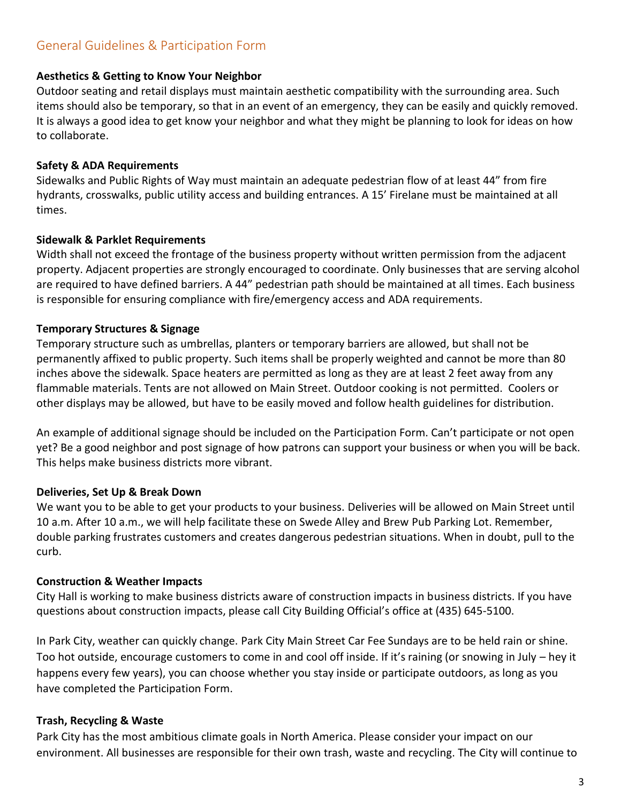#### **Aesthetics & Getting to Know Your Neighbor**

Outdoor seating and retail displays must maintain aesthetic compatibility with the surrounding area. Such items should also be temporary, so that in an event of an emergency, they can be easily and quickly removed. It is always a good idea to get know your neighbor and what they might be planning to look for ideas on how to collaborate.

#### **Safety & ADA Requirements**

Sidewalks and Public Rights of Way must maintain an adequate pedestrian flow of at least 44" from fire hydrants, crosswalks, public utility access and building entrances. A 15' Firelane must be maintained at all times.

#### **Sidewalk & Parklet Requirements**

Width shall not exceed the frontage of the business property without written permission from the adjacent property. Adjacent properties are strongly encouraged to coordinate. Only businesses that are serving alcohol are required to have defined barriers. A 44" pedestrian path should be maintained at all times. Each business is responsible for ensuring compliance with fire/emergency access and ADA requirements.

#### **Temporary Structures & Signage**

Temporary structure such as umbrellas, planters or temporary barriers are allowed, but shall not be permanently affixed to public property. Such items shall be properly weighted and cannot be more than 80 inches above the sidewalk. Space heaters are permitted as long as they are at least 2 feet away from any flammable materials. Tents are not allowed on Main Street. Outdoor cooking is not permitted. Coolers or other displays may be allowed, but have to be easily moved and follow health guidelines for distribution.

An example of additional signage should be included on the Participation Form. Can't participate or not open yet? Be a good neighbor and post signage of how patrons can support your business or when you will be back. This helps make business districts more vibrant.

## **Deliveries, Set Up & Break Down**

We want you to be able to get your products to your business. Deliveries will be allowed on Main Street until 10 a.m. After 10 a.m., we will help facilitate these on Swede Alley and Brew Pub Parking Lot. Remember, double parking frustrates customers and creates dangerous pedestrian situations. When in doubt, pull to the curb.

## **Construction & Weather Impacts**

City Hall is working to make business districts aware of construction impacts in business districts. If you have questions about construction impacts, please call City Building Official's office at (435) 645-5100.

In Park City, weather can quickly change. Park City Main Street Car Fee Sundays are to be held rain or shine. Too hot outside, encourage customers to come in and cool off inside. If it's raining (or snowing in July – hey it happens every few years), you can choose whether you stay inside or participate outdoors, as long as you have completed the Participation Form.

## **Trash, Recycling & Waste**

Park City has the most ambitious climate goals in North America. Please consider your impact on our environment. All businesses are responsible for their own trash, waste and recycling. The City will continue to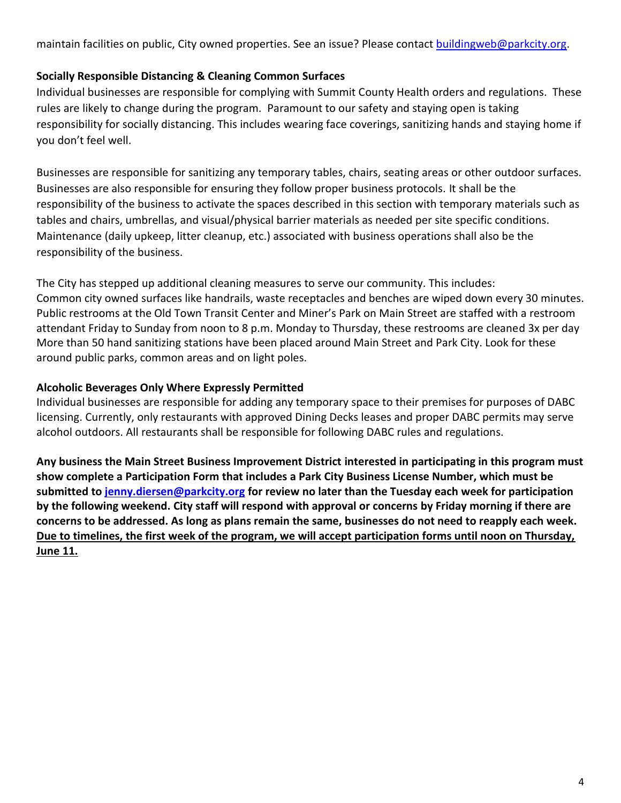maintain facilities on public, City owned properties. See an issue? Please contact **buildingweb@parkcity.org**.

## **Socially Responsible Distancing & Cleaning Common Surfaces**

Individual businesses are responsible for complying with Summit County Health orders and regulations. These rules are likely to change during the program. Paramount to our safety and staying open is taking responsibility for socially distancing. This includes wearing face coverings, sanitizing hands and staying home if you don't feel well.

Businesses are responsible for sanitizing any temporary tables, chairs, seating areas or other outdoor surfaces. Businesses are also responsible for ensuring they follow proper business protocols. It shall be the responsibility of the business to activate the spaces described in this section with temporary materials such as tables and chairs, umbrellas, and visual/physical barrier materials as needed per site specific conditions. Maintenance (daily upkeep, litter cleanup, etc.) associated with business operations shall also be the responsibility of the business.

The City has stepped up additional cleaning measures to serve our community. This includes: Common city owned surfaces like handrails, waste receptacles and benches are wiped down every 30 minutes. Public restrooms at the Old Town Transit Center and Miner's Park on Main Street are staffed with a restroom attendant Friday to Sunday from noon to 8 p.m. Monday to Thursday, these restrooms are cleaned 3x per day More than 50 hand sanitizing stations have been placed around Main Street and Park City. Look for these around public parks, common areas and on light poles.

## **Alcoholic Beverages Only Where Expressly Permitted**

Individual businesses are responsible for adding any temporary space to their premises for purposes of DABC licensing. Currently, only restaurants with approved Dining Decks leases and proper DABC permits may serve alcohol outdoors. All restaurants shall be responsible for following DABC rules and regulations.

**Any business the Main Street Business Improvement District interested in participating in this program must show complete a Participation Form that includes a Park City Business License Number, which must be submitted to [jenny.diersen@parkcity.org](mailto:jenny.diersen@parkcity.org) for review no later than the Tuesday each week for participation by the following weekend. City staff will respond with approval or concerns by Friday morning if there are concerns to be addressed. As long as plans remain the same, businesses do not need to reapply each week. Due to timelines, the first week of the program, we will accept participation forms until noon on Thursday, June 11.**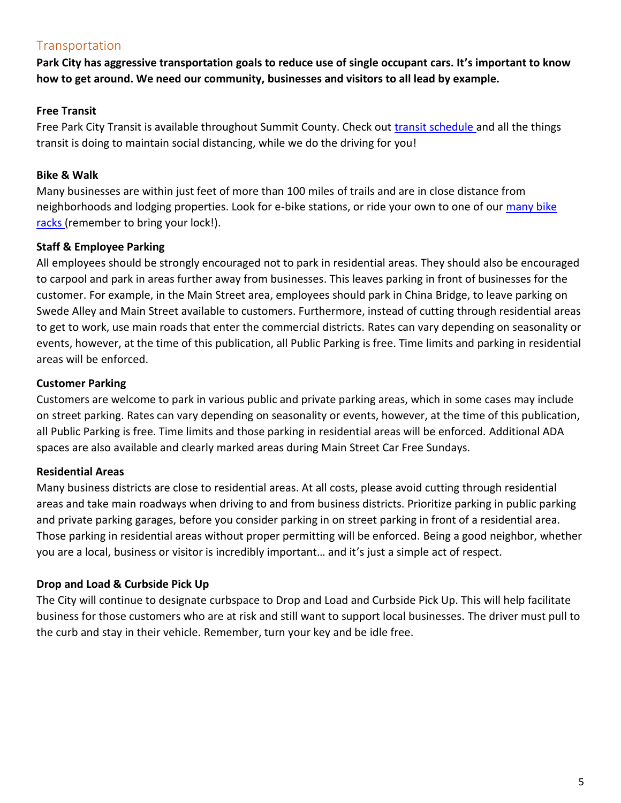## **Transportation**

**Park City has aggressive transportation goals to reduce use of single occupant cars. It's important to know how to get around. We need our community, businesses and visitors to all lead by example.**

## **Free Transit**

Free Park City Transit is available throughout Summit County. Check out *transit schedule* and all the things transit is doing to maintain social distancing, while we do the driving for you!

## **Bike & Walk**

Many businesses are within just feet of more than 100 miles of trails and are in close distance from neighborhoods and lodging properties. Look for e-bike stations, or ride your own to one of our [many bike](https://parkcity.maps.arcgis.com/home/webmap/viewer.html?webmap=e9a354e9730d4a44a3527c96ad9c8cfd)  [racks \(](https://parkcity.maps.arcgis.com/home/webmap/viewer.html?webmap=e9a354e9730d4a44a3527c96ad9c8cfd)remember to bring your lock!).

## **Staff & Employee Parking**

All employees should be strongly encouraged not to park in residential areas. They should also be encouraged to carpool and park in areas further away from businesses. This leaves parking in front of businesses for the customer. For example, in the Main Street area, employees should park in China Bridge, to leave parking on Swede Alley and Main Street available to customers. Furthermore, instead of cutting through residential areas to get to work, use main roads that enter the commercial districts. Rates can vary depending on seasonality or events, however, at the time of this publication, all Public Parking is free. Time limits and parking in residential areas will be enforced.

## **Customer Parking**

Customers are welcome to park in various public and private parking areas, which in some cases may include on street parking. Rates can vary depending on seasonality or events, however, at the time of this publication, all Public Parking is free. Time limits and those parking in residential areas will be enforced. Additional ADA spaces are also available and clearly marked areas during Main Street Car Free Sundays.

## **Residential Areas**

Many business districts are close to residential areas. At all costs, please avoid cutting through residential areas and take main roadways when driving to and from business districts. Prioritize parking in public parking and private parking garages, before you consider parking in on street parking in front of a residential area. Those parking in residential areas without proper permitting will be enforced. Being a good neighbor, whether you are a local, business or visitor is incredibly important… and it's just a simple act of respect.

## **Drop and Load & Curbside Pick Up**

The City will continue to designate curbspace to Drop and Load and Curbside Pick Up. This will help facilitate business for those customers who are at risk and still want to support local businesses. The driver must pull to the curb and stay in their vehicle. Remember, turn your key and be idle free.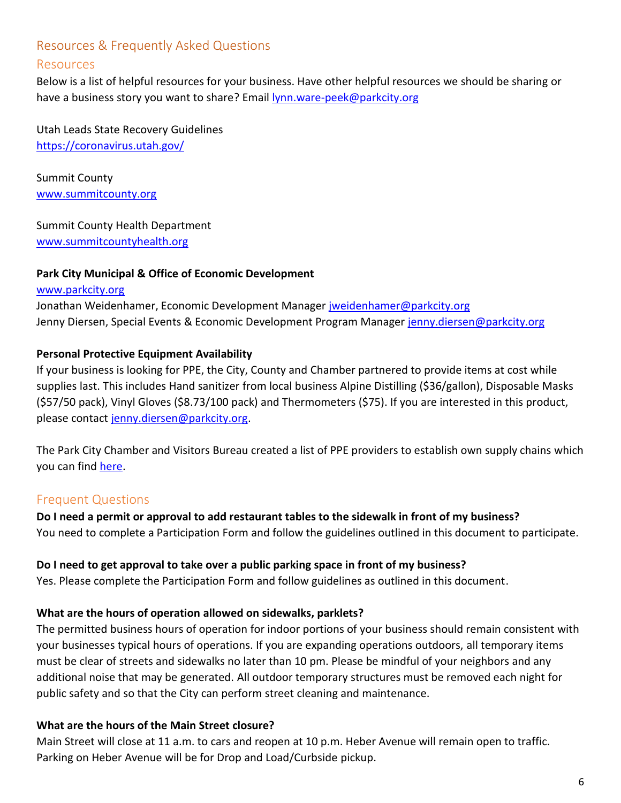## Resources & Frequently Asked Questions

## Resources

Below is a list of helpful resources for your business. Have other helpful resources we should be sharing or have a business story you want to share? Email [lynn.ware-peek@parkcity.org](mailto:lynn.ware-peek@parkcity.org)

Utah Leads State Recovery Guidelines <https://coronavirus.utah.gov/>

Summit County [www.summitcounty.org](http://www.summitcounty.org/)

Summit County Health Department [www.summitcountyhealth.org](http://www.summitcountyhealth.org/)

## **Park City Municipal & Office of Economic Development**

[www.parkcity.org](http://www.parkcity.org/) Jonathan Weidenhamer, Economic Development Manager [jweidenhamer@parkcity.org](mailto:jweidenhamer@parkcity.org) Jenny Diersen, Special Events & Economic Development Program Manager [jenny.diersen@parkcity.org](mailto:jenny.diersen@parkcity.org)

## **Personal Protective Equipment Availability**

If your business is looking for PPE, the City, County and Chamber partnered to provide items at cost while supplies last. This includes Hand sanitizer from local business Alpine Distilling (\$36/gallon), Disposable Masks (\$57/50 pack), Vinyl Gloves (\$8.73/100 pack) and Thermometers (\$75). If you are interested in this product, please contact [jenny.diersen@parkcity.org.](mailto:jenny.diersen@parkcity.org)

The Park City Chamber and Visitors Bureau created a list of PPE providers to establish own supply chains which you can find [here.](https://www.parkcity.org/Home/ShowDocument?id=67558)

## Frequent Questions

## **Do I need a permit or approval to add restaurant tables to the sidewalk in front of my business?**

You need to complete a Participation Form and follow the guidelines outlined in this document to participate.

#### **Do I need to get approval to take over a public parking space in front of my business?**

Yes. Please complete the Participation Form and follow guidelines as outlined in this document.

#### **What are the hours of operation allowed on sidewalks, parklets?**

The permitted business hours of operation for indoor portions of your business should remain consistent with your businesses typical hours of operations. If you are expanding operations outdoors, all temporary items must be clear of streets and sidewalks no later than 10 pm. Please be mindful of your neighbors and any additional noise that may be generated. All outdoor temporary structures must be removed each night for public safety and so that the City can perform street cleaning and maintenance.

## **What are the hours of the Main Street closure?**

Main Street will close at 11 a.m. to cars and reopen at 10 p.m. Heber Avenue will remain open to traffic. Parking on Heber Avenue will be for Drop and Load/Curbside pickup.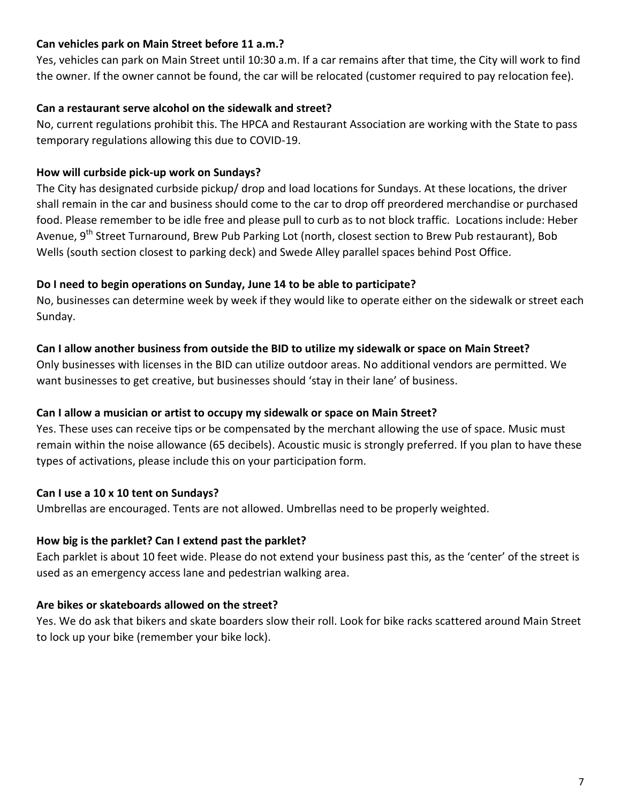## **Can vehicles park on Main Street before 11 a.m.?**

Yes, vehicles can park on Main Street until 10:30 a.m. If a car remains after that time, the City will work to find the owner. If the owner cannot be found, the car will be relocated (customer required to pay relocation fee).

## **Can a restaurant serve alcohol on the sidewalk and street?**

No, current regulations prohibit this. The HPCA and Restaurant Association are working with the State to pass temporary regulations allowing this due to COVID-19.

## **How will curbside pick-up work on Sundays?**

The City has designated curbside pickup/ drop and load locations for Sundays. At these locations, the driver shall remain in the car and business should come to the car to drop off preordered merchandise or purchased food. Please remember to be idle free and please pull to curb as to not block traffic. Locations include: Heber Avenue, 9<sup>th</sup> Street Turnaround, Brew Pub Parking Lot (north, closest section to Brew Pub restaurant), Bob Wells (south section closest to parking deck) and Swede Alley parallel spaces behind Post Office.

## **Do I need to begin operations on Sunday, June 14 to be able to participate?**

No, businesses can determine week by week if they would like to operate either on the sidewalk or street each Sunday.

## **Can I allow another business from outside the BID to utilize my sidewalk or space on Main Street?**

Only businesses with licenses in the BID can utilize outdoor areas. No additional vendors are permitted. We want businesses to get creative, but businesses should 'stay in their lane' of business.

## **Can I allow a musician or artist to occupy my sidewalk or space on Main Street?**

Yes. These uses can receive tips or be compensated by the merchant allowing the use of space. Music must remain within the noise allowance (65 decibels). Acoustic music is strongly preferred. If you plan to have these types of activations, please include this on your participation form.

## **Can I use a 10 x 10 tent on Sundays?**

Umbrellas are encouraged. Tents are not allowed. Umbrellas need to be properly weighted.

## **How big is the parklet? Can I extend past the parklet?**

Each parklet is about 10 feet wide. Please do not extend your business past this, as the 'center' of the street is used as an emergency access lane and pedestrian walking area.

## **Are bikes or skateboards allowed on the street?**

Yes. We do ask that bikers and skate boarders slow their roll. Look for bike racks scattered around Main Street to lock up your bike (remember your bike lock).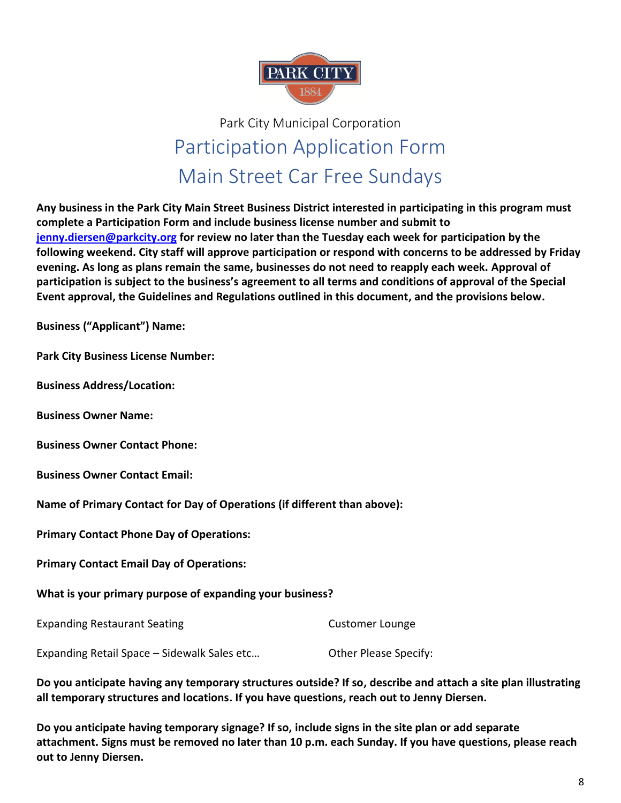

## Park City Municipal Corporation Participation Application Form Main Street Car Free Sundays

**Any business in the Park City Main Street Business District interested in participating in this program must complete a Participation Form and include business license number and submit to [jenny.diersen@parkcity.org](mailto:jenny.diersen@parkcity.org) for review no later than the Tuesday each week for participation by the following weekend. City staff will approve participation or respond with concerns to be addressed by Friday evening. As long as plans remain the same, businesses do not need to reapply each week. Approval of participation is subject to the business's agreement to all terms and conditions of approval of the Special Event approval, the Guidelines and Regulations outlined in this document, and the provisions below.**

**Business ("Applicant") Name:**

**Park City Business License Number:**

**Business Address/Location:**

**Business Owner Name:** 

**Business Owner Contact Phone:**

**Business Owner Contact Email:**

**Name of Primary Contact for Day of Operations (if different than above):** 

**Primary Contact Phone Day of Operations:**

**Primary Contact Email Day of Operations:**

**What is your primary purpose of expanding your business?**

Expanding Restaurant Seating Customer Lounge Expanding Retail Space – Sidewalk Sales etc… Other Please Specify:

**Do you anticipate having any temporary structures outside? If so, describe and attach a site plan illustrating all temporary structures and locations. If you have questions, reach out to Jenny Diersen.**

**Do you anticipate having temporary signage? If so, include signs in the site plan or add separate attachment. Signs must be removed no later than 10 p.m. each Sunday. If you have questions, please reach out to Jenny Diersen.**